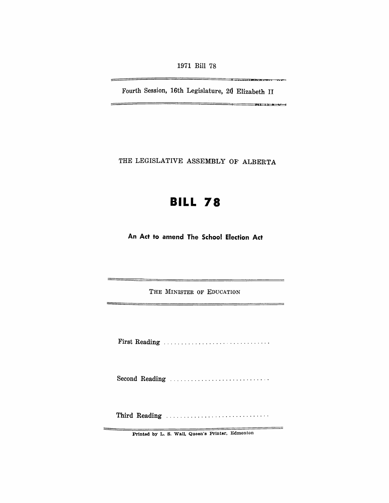1971 Bill 78

Fourth Session, 16th Legislature, 20 Elizabeth II

 $\frac{1}{2}$ 

THE LEGISLATIVE ASSEMBLY OF ALBERTA

## **BILL 78**

**An Act to amend The School Election Act** 

THE MINISTER OF EDUCATION

First Reading

Second Reading ...............................

Third Reading ............................. .

Printed by L. S. Wall. Queen's Printer, Edmonton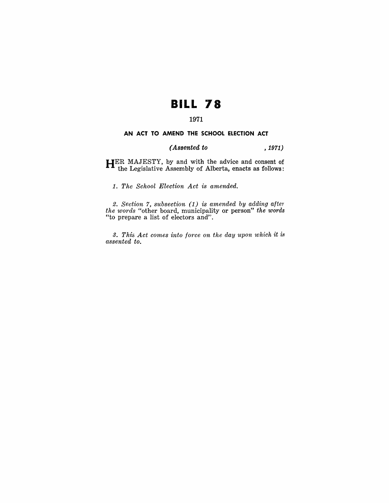# **BILL 78**

## 1971

#### **AN ACT TO AMEND THE SCHOOL ELECTION ACT**

### *(Assented to* , 1971)

HER MAJESTY, by and with the advice and consent of the Legislative Assembly of Alberta, enacts as follows:

1. *The School Election Act is amended.* 

2. *Section* 7, *subsection* (1) *is amended by adding after the words* "other board, municipality or person" *the words*  "to prepare a list of electors and".

*3. This Act comes into force on the day upon which* it *is assented to.*